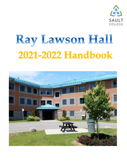

# Ray Lawson Hall 2021-2022 Handbook

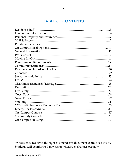## **TABLE OF CONTENTS**

\*\*\*Residence Reserves the right to amend this document as the need arises. Students will be informed in writing when such changes occur.\*\*\*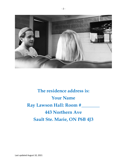

## **The residence address is: Your Name Ray Lawson Hall: Room #\_\_\_\_\_\_\_\_ 443 Northern Ave Sault Ste. Marie, ON P6B 4J3**

Last updated August 10, 2021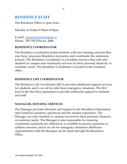## **RESIDENCE STAFF**

The Residence Office is open from:

Monday to Friday 8:30am-4:30pm.

E-mail: [housing@saultcollege.ca](mailto:housing@saultcollege.ca) Phone: 705-759-2554 ext. 2684

## **RESIDENCE COORDINATOR**

The Residence coordinator assists students with any housing concerns they may have, processes Residence payments, and coordinates the admission process. The Residence Coordinator is a frontline resource that will refer students to campus and community services for their personal, financial, or academic needs. The Residence Coordinator is located in the residence office.

## **RESIDENCE LIFE COORDINATOR**

The Residence Life Coordinator (RLC) provides additional support services for students, and is on call for after hour emergency situations. The RLC lives in the first floor apartment to provide additional support to students and staff.

## **MANAGER, HOUSING SERVICES**

The Manager provides direction and support to the Residence Department staff related to residence operations and the student experience. The Manager can refer students to campus services for their personal, financial, or academic needs. The Manager is also responsible for ensuring community standards are adhered to, is available to answer questions or address concerns, and is on call for emergency situations afterhours. Appointments with the Manager can be made through the Residence Office.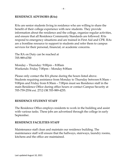## **RESIDENCE ADVISORS (RAs)**

RAs are senior students living in residence who are willing to share the benefit of their college experience with new students. They provide information about the residence and the college, organize regular activities, and ensure that all Residence Community Standards are followed. RAs respond to emergency situations and are trained in First Aid and CPR. RAs are a frontline resource to support to students and refer them to campus services for their personal, financial, or academic concerns.

The RA on Duty can be reached at 705-989-6700

Monday – Thursday: 9:00pm – 8:00am Weekends: Friday 7:00pm – Monday 8:00am

Please only contact the RA phone during the hours listed above. Students requiring assistance from Monday to Thursday between 8:30am – 9:00pm and Friday from 8:30am – 7:00pm must see Residence staff in the main Residence Office during office hours or contact Campus Security at 705-759-2554 ext. 2712 OR 705-989-4255.

## **RESIDENCE STUDENT STAFF**

The Residence Office employs residents to work in the building and assist with various tasks. These jobs are advertised through the college in early September.

#### **RESIDENCE FACILITIES STAFF**

Maintenance staff clean and maintain our residence building. The maintenance staff will ensure that the hallways, stairways, laundry rooms, kitchens and the office are maintained.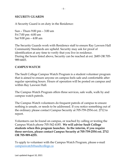#### **SECURITY GUARDS**

A Security Guard is on duty in the Residence:

Sun – Thurs 9:00 pm – 3:00 am Fri 7:00 pm -4:00 am Sat 9:00 pm – 4:00 am

The Security Guards work with Residence staff to ensure Ray Lawson Hall Community Standards are upheld. Security may ask for proof of identification at any time to verify that you live in residence. During the hours listed above, Security can be reached at ext. 2685 OR 705- 989-6603.

#### **CAMPUS WATCH**

The Sault College Campus Watch Program is a student volunteer program that is aimed to ensure anyone on campus feels safe and comfortable after regular operating hours. Hours of operation will be posted on campus and within Ray Lawson Hall.

The Campus Watch Program offers three services, safe walk, walk by and campus watch patrols.

The Campus Watch volunteers do frequent patrols of campus to ensure nothing is unsafe, or needs to be addressed. If you notice something out of the ordinary please contact Campus Security at 705-759-2554 ext. 2712 to report.

Volunteers can be found on campus, or reached by calling or texting the Campus Watch phone 705-542-4185. **We will advise Sault College students when this program launches. In the interim, if you require these services, please contact Campus Security at 705-759-2554 ext. 2712 OR 705-989-4255.**

To apply to volunteer with the Campus Watch Program, please e-mail [campuswatch@saultcollege.ca](mailto:campuswatch@saultcollege.ca)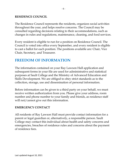#### **RESIDENCE COUNCIL**

The Residence Council represents the residents, organizes social activities throughout the year, and helps resolve concerns. The Council may be consulted regarding decisions relating to their accommodations, such as changes in rules and regulations, maintenance, cleaning, and food services.

Every resident is eligible to run for a position on Residence Council. The Council is voted into office every September, and every resident is eligible to cast a ballot for each position. The positions available are: Chair, Vice Chair, Secretary, and Treasurer.

## **FREEDOM OF INFORMATION**

The information contained on your Ray Lawson Hall application and subsequent forms in your file are used for administrative and statistical purposes at Sault College and the Ministry of Advanced Education and Skills Development. We are obliged to obey strict standards as to the collection, storage, use and dissemination of personal information.

Before information can be given to a third party on your behalf, we must receive written authorization from you. Please give your address, room number and phone number to your family and friends, as residence staff will not/cannot give out this information.

## **EMERGENCY CONTACT**

All residents of Ray Lawson Hall must provide contact information for a parent or legal guardian or, alternatively, a responsible person. Sault College may contact this individual about health and safety concerns and emergencies, breaches of residence rules and concerns about the payment of residence fees.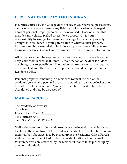## **PERSONAL PROPERTY AND INSURANCE**

Insurance carried by the College does not cover your personal possessions. Sault College does not assume any liability for lost, stolen or damaged items of personal property, no matter how caused. Please note that this includes any vehicles parked on residence property. It is your responsibility to arrange for insurance coverage for personal property brought into residence. If your parents live in Ontario, their property insurance might be extended to include your possessions while you are living in residence. Contact your insurance provider for more information.

All valuables should be kept under lock and key, and you are advised to keep your room locked at all times. A malfunction of the door lock does not change this responsibility. Alternative secure storage may be required for valuable items. Theft of personal property should be reported to the Residence Office.

Personal property remaining in a residence room at the end of the academic year or any personal property remaining in a storage locker after the last day of the Residence Agreement shall be deemed to have been abandoned and may be disposed of.

## **MAIL & PARCELS**

The residence address is: Your Name Lawson Hall: Room #\_\_\_\_\_\_\_\_ 443 Northern Ave Sault Ste. Marie, ON P6A 4J3

Mail is delivered to student mailboxes every business day. Mail boxes are located in the main foyer of the Residence. Students are sent notification in their mailbox if a parcel is to be picked up in the Residence Office. Parcels and mail can only be picked up by the resident indicated on the mail. Written permission is needed by the resident if mail is to be picked up by another individual.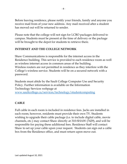Before leaving residence, please notify your friends, family and anyone you receive mail from of your new address. Any mail received after a student has moved out will be returned to sender.

Please note that the college will not sign for LCBO packages delivered to campus. Students must be present at the time of delivery or the package will be brought to the depot for students to retrieve there.

## **INTERNET AND THE COLLEGE NETWORK**

Shaw Communications is responsible for the internet access in the Residence building. This service is provided to each residence room as well as wireless internet access in common areas of the building. Wireless routers are not permitted in residence as they interfere with the College's wireless service. Students will be on a secured network with a password.

Students must abide by the Sault College Computer Use and Security Policy. Further information is available on the Information Technology Services webpage at [www.saultcollege.ca/services/technology/studentcomputing](http://www.saultcollege.ca/services/technology/studentcomputing)

## **CABLE**

Full cable in each room is included in residence fees. Jacks are installed in each room; however, residents must provide their own TV. Students wishing to upgrade their cable package (i.e. to include digital cable, movie channels, etc.) may contact Shaw directly at 310-SHAW (7429), and will be responsible for paying these additional fees. Residence Staff will contact Shaw to set up your cable upon your request. Students can sign out a cable box from the Residence office, and must return upon move out.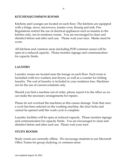## **KITCHENS/COMMON ROOMS**

Kitchens and Lounges are located on each floor. The kitchens are equipped with a fridge, stove, microwave, toaster oven, Keurig and sink. Fire Regulations restrict the use of electrical appliances such as toasters to the kitchen only, not in residence rooms. You are encouraged to clean and disinfect before and after each use. Please wait your turn. Masks must be worn.

All kitchens and common areas (including POD common areas) will be open at a reduced capacity. Please monitor signage and communication for capacity limits.

## **LAUNDRY**

Laundry rooms are located near the lounge on each floor. Each room is furnished with two washers and dryers, as well as a counter for folding laundry. The cost of laundry is included in your residence fees. Machines are for the use of current residents only.

Should you find a machine out of order, please report it to the office so we can make the necessary arrangements for repairs.

Please do not overload the machines as this causes damage. Note that once a cycle has been selected on the washing machine, the door locks and cannot be opened until the wash cycle is complete.

Laundry facilities will be open at reduced capacity. Please monitor signage and communication for capacity limits. You are encouraged to clean and disinfect before and after each use. Please wait your turn.

#### **STUDY ROOMS**

Study rooms are currently offline. We encourage students to use Microsoft Office Teams for group studying, or common areas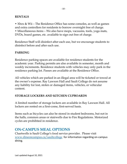#### **RENTALS**

• Xbox & Wii – The Residence Office has some consoles, as well as games and extra controllers for residents to borrow overnight free of charge. • Miscellaneous items – We also have mops, vacuums, tools, yoga mats, DVDs, board games, etc. available to sign out free of charge.

Residence Staff will disinfect after each use, but we encourage students to disinfect before and after each use.

#### **PARKING**

Residence parking spaces are available for residence students for the academic year. Parking permits are also available in semester, month and weekly increments. Residence students with vehicles may only park in the residence parking lot. Passes are available at the Residence Office.

All vehicles which are parked in an illegal area will be ticketed or towed at the owner's expense. Ray Lawson Hall and Sault College do not assume any liability for lost, stolen or damaged items, vehicles, or vehicular content.

#### **STORAGE LOCKERS AND KITCHEN CUPBOARDS**

A limited number of storage lockers are available in Ray Lawson Hall. All lockers are rented on a first-come, first-served basis.

Items such as bicycles can also be stored in student bedrooms, but not in the halls, common areas or stairwells due to Fire Regulations. Motorized cycles are prohibited in residence.

## **ON-CAMPUS MEAL OPTIONS**

Chartwells is Sault College's food service provider. Please visit [www.dineoncampus.ca/saultcollege](http://www.dineoncampus.ca/saultcollege) for information regarding on-campus dining.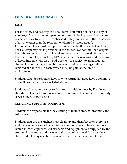## **GENERAL INFORMATION**

#### **KEYS**

For the safety and security of all residents, you must not loan out any of your keys. You are the only person permitted to be in possession of your residence keys. Keys will be confiscated if they are found in the possession of anyone other than the resident to whom they were issued. Lost or stolen keys must be reported immediately. If residents lose their keys, a temporary set is provided. If the student cannot find their original keys, the room door key is rekeyed and new keys are issued. Students who lose their room keys must pay \$125 in advance for rekeying and reissuing of keys. Students who lose a pod door key are subject to an additional charge. Lost or damaged mailbox keys or front door key tags will be replaced at a rate of \$15 each, which must be paid at the time of replacement.

Students who do not return keys or who return damaged keys upon moveout will be charged the rates listed above.

Students who request access to their room multiple times by Residence staff due to lost or forgotten keys may be required to complete community service hours or pay a fine.

#### **CLEANING SUPPLIES /EQUIPMENT**

Students are responsible for the cleaning of their rooms, bathroom(s), and suite areas.

Students that use the kitchen must clean up and disinfect after every use, and dishes/items cannot be left in the common areas unless stored in a rented kitchen cupboard. All cleansers and equipment are supplied by the student. Large mops and wringer pails can be borrowed from residence staff. Students may also borrow a vacuum from the Residence Office.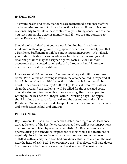#### **INSPECTIONS**

To ensure health and safety standards are maintained, residence staff will not be entering rooms to facilitate inspections for cleanliness. It is your responsibility to maintain the cleanliness of your living space. We ask that you test your smoke detector monthly, and if there are any concerns to advise Residence Office.

Should we be advised that you are not following health and safety guidelines with keeping your living space cleaned, we will notify you that a Residence Staff member will be conducting an inspection. We will ask you to step outside your room while we facilitate this. Warnings and financial penalties may be assigned against each suite or bathroom occupant if the inspected room, suite or bathroom is found in unsafe, unclean, or unhealthy conditions.

Fines are set at \$10 per person. The fines must be paid within a set time frame. When a fine or warning is issued, the area penalized is inspected at least 24 hours after the initial inspection. If the area is found to still be unsafe, unclean, or unhealthy, Sault College Physical Resource Staff will clean the area and the student(s) will be billed for the associated costs. Should a student disagree with a fine or warning, they may appeal in writing to the Residence Manager, within 3 working days. The appeal should include the reason for appeal and the desired resolution. The Residence Manager, may decide to uphold, reduce or eliminate the penalty, and the decision is final and binding.

#### **PEST CONTROL**

Ray Lawson Hall has initiated a bedbug detection program. At least once during the term of the Residence Agreement, there will be pest inspections of all rooms completed by contract specialists. All Residents must cooperate during the scheduled inspections of their rooms and treatment (if required). In addition to the on-site inspections, each room has been outfitted with an early detection bed bug device this is installed on the wall near the head of each bed. Do not remove this. This device will help detect the presence of bed bugs before an outbreak occurs. The Resident is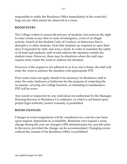responsible to notify the Residence Office immediately in the event bed bugs (or any other pests) are observed in a room.

## **ROOM ENTRY**

The College wishes to assure the privacy of students, but reserves the right to enter rooms at any time in cases of emergency, event of an illegal activity, breach of the Student Code of Conduct, or behaviour that is disruptive to other students. Note that students are required to open their door if requested by staff, and wear a mask. In order to maintain the safety of all staff and students, staff would address the situation outside the student room. However, there may be situations where the staff may require entry inside the room to address the situation.

However, if the request is not adhered to or if no one is home, the staff will enter the room to address the situation with appropriate PPE.

Prior notice does not apply should it be necessary for Residence staff to enter the suite, bedroom or bathroom for the purpose of contacting the occupants, carrying out College business, or attending to maintenance. PPE will be worn.

Any search or inspection by any individual not authorized by the Manager, Housing Services or Residence Co-ordinator, or which is not based upon proper legal authority (search warrant), is prohibited.

#### **ROOM CHANGES**

Changes to room assignments will be considered on a case-by-case basis upon request, dependant on availability. Residents who request a room change during the year are charged a \$50 administration fee, payable prior to the move, provided the change can be accommodated. Changing rooms without the consent of the Residence Office is prohibited.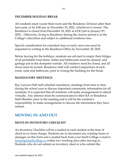## **DECEMBER HOLIDAY BREAK**

All residents must vacate their room and the Residence 24 hours after their last exam, or by 4:00 pm on December 18, 2021, whichever is sooner. The Residence is closed from December 18, 2021 at 4:OO pm to January 8th, 2022.. Otherwise, living in Residence during the closure period is at the College's discretion and subject to additional residence fees.

Special consideration for extended stays or early move-ins must be requested in writing to the Residence Office by November 30, 2021.

Before leaving for the holidays, students are advised to empty their fridges of all perishable food items. Suites and bathrooms must be cleaned, and garbage put in the dumpster outside. All windows must be closed, and all doors must be locked. Residence staff will conduct inspections of each room, suite and bathroom, prior to closing the building for the break.

## **MANDATORY MEETINGS**

Ray Lawson Hall staff schedule mandatory meetings from time to time during the school year to discuss important community information for all residents. It is expected that all residents will make arrangements to attend virtually. Any absence must be communicated to their RA or Residence Staff Member prior to the meeting and it will be the resident's responsibility to make arrangements to discuss the information they have missed.

## **MOVING IN AND OUT**

## **MOVE-IN INVENTORY CHECKLIST**

An Inventory Checklist will be e-mailed to each student at the time of check-in or room change. Students are to document any existing losses or damages on this form and e-mailed back from your Sault College e-mail to [housing@saultcollege.ca](mailto:housing@saultcollege.ca) within two working days after moving in... Students who do not submit an inventory sheet or who submit the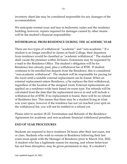inventory sheet late may be considered responsible for any damages of the accommodation.

We anticipate normal wear and tear in bedrooms, suites and the residence building; however, repairs required for damages caused by other means will be the student's financial responsibility.

## **WITHDRAWAL FROM RESIDENCE DURING THE ACADEMIC YEAR**

There are two types of withdrawal: "academic" and "non-academic." If a student is no longer enrolled in classes at Sault College, their departure from residence would be classified as "academic withdrawal." The student shall vacate the premises within 24 hours. Extensions may be requested by e-mail to the Residence Office. The student's obligation will be for Residence fees already paid, plus a withdrawal fee of \$700. If student continues to be enrolled but departs from the Residence, this is considered "non-academic withdrawal". The student will be responsible for paying for the room until a suitable external replacement can be found. When an external replacement enters Residence, s/he replaces the first withdrawal, regardless of the location of the assigned room. External replacements are applied on a residence-wide basis based on room type. Fee refunds will be calculated from the date that the replacement moves in and will include a withdrawal fee of \$700. If no replacement is found, there will be no refund of Residence fees. This means that there may be a student living in what was your space, however if the residence has not yet reached your spot on the withdrawal list, you will not be entitled to a refund yet.

Please refer to section 18-22: Termination and Refunds of the Residence Agreement for academic and non-academic financial withdrawal penalties.

## **END OF YEAR PROCEDURES**

Students are required to leave residence 24 hours after their last exam, test or class. Students who wish to remain in Residence following their last exam must speak with the Manager of Residence prior to March 31st, 2022. A student who has a legitimate reason for staying, and whose behaviour has not been disruptive, may be given permission to stay. If a student's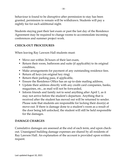behaviour is found to be disruptive after permission to stay has been granted, permission to remain will be withdrawn. Students will pay a nightly fee for each additional night.

Students staying past their last exam or past the last day of the Residence Agreement may be required to change rooms to accommodate incoming conferences and summer project work.

## **CHECK-OUT PROCEDURES**

When leaving Ray Lawson Hall students must:

- Move out within 24 hours of their last exam,
- Return their room, bathroom and suite (if applicable) to its original condition,
- Make arrangements for payment of any outstanding residence fees.
- Return all keys (on original key ring)
- Return their parking pass, if applicable,
- Ensure the Residence Office has an up to-date mailing address,
- Update their address directly with any credit card companies, banks, magazines, etc., as mail will not be forwarded,
- Inform friends and family not to send anything after April 1, as it may not arrive before the student's departure. Anything that is received after the student has moved out will be returned to sender. Please note that students are responsible for locking their door(s) at move-out. If there is damage done to a student's room as a result of the door being left unlocked, the student will still be held responsible for the damages.

## **DAMAGE CHARGES**

Cumulative damages are assessed at the end of each term, and upon checkout. Unassigned building damage expenses are shared by all residents of Ray Lawson Hall. An explanation of the account is provided upon written request.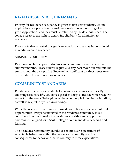## **RE-ADMISSION REQUIREMENTS**

Priority for Residence occupancy is given to first year students. Online applications are posted on the residence webpage in the spring of each year. Applications and fees must be returned by the date published. The college reserves the right to determine eligibility for admission to residence.

Please note that repeated or significant conduct issues may be considered in readmission to residence.

## **SUMMER RESIDENCY**

Ray Lawson Hall is open to students and community members in the summer months. Please submit requests to stay past move-out and into the summer months by April 1st. Repeated or significant conduct issues may be considered in summer stay requests.

## **COMMUNITY STANDARDS**

Residences exist to assist students to pursue success in academics. By choosing residence life, you have agreed to adopt a lifestyle which requires respect for the needs/belongings of the other people living in the building, as well as respect for your surroundings.

While the residence environment provides additional social and cultural opportunities, everyone involved in the residence community must contribute in order to make the residence a positive and supportive environment aligned with Sault College's core mandate of teaching and learning.

The Residence Community Standards set out clear expectations of acceptable behaviour within the residence community and the consequences for behaviour that is contrary to these expectations.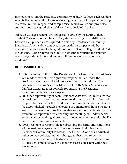In choosing to join the residence community at Sault College, each resident accepts the responsibility to maintain a high standard of cooperative living, tolerance, mutual respect and compromise, which values and promotes common courtesy, good citizenship and responsible behaviour.

All Sault College students are obligated to abide by the Sault College Student Code of Conduct. In addition, students living in or visiting Ray Lawson Hall property are required to abide by Residence Community Standards. Any incident that occurs on residence property will be responded to according to the guidelines of the Sault College Student Code of Conduct. Please refer to the Code of Conduct for further information regarding student rights and responsibilities, as well as procedural guidelines.

## **RESPONSIBILITIES**

- 1. It is the responsibility of the Residence Office to ensure that residents are made aware of their rights and responsibilities under the Residence Contract and Residence Community Standards. The Manager, Housing Services, Manager, Health, Safety & Security or his/her designate is responsible for ensuring the Residence Community Standards are upheld.
- 2. It is the responsibility of each Residence Advisor (RA) to ensure that all residents in his or her section are made aware of their rights and responsibilities under the Residence Community Standards. This will be accomplished through the hosting of a mandatory house meeting early in the year to outline the Residence Community Standards. The resident is responsible for attending this meeting, or, under special circumstances, making alternative arrangements to meet with the RA to discuss Community Standards.
- 3. Every resident is responsible for observing the terms and conditions of the Residence Agreement, The Ray Lawson Hall Handbook, Residence Community Standards, The Student Code of Conduct, all other college policies, and any changes to these documents, as outlined in a written update during the course of the residence term. All residents must behave in a manner that is consistent with these documents.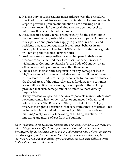- 5. Residents are required to take responsibility for the behaviour of their non-residence guests while on residence property. All residence rules, policies and procedures apply to guests of residents, and residents may face consequences if their guest behaves in an unacceptable manner. Due to COVID-19 related restrictions, guests will not be permitted until further notice.
- 6. Residents are also responsible for what happens in their room, washroom and suite, and may face disciplinary action should violations of Community Standards, the Code of Conduct, or any other college policy or law occur within these areas.
- 7. The resident is financially responsible for any damage or loss to his/her room or its contents, and also for the cleanliness of the room. All students in a suite are jointly responsible for damages or losses to the shared areas of the suite. All charges for damages to common areas will be split equally among the occupants of the building, provided that such damage cannot be traced to those directly responsible.
- 8. Every resident is expected to act in a responsible manner which does not compromise his/her own safety or endanger the health and safety of others. The Residence Office, on behalf of the College, reserves the right to determine what constitutes unsafe practices. This includes but is not limited to: tampering with fixtures and/ or building/safety systems, fabricating of building structures, or impeding any means of exit from the building.

*Note: Violations of the Residence Community Standards, Residence Contract, any other College policy, and/or Municipal, Provincial or Federal law may be investigated by the Residence Office and any other appropriate College department or outside agency such as the Police. Sanctions for any one incident may be assigned to a resident by multiple agencies such as the Residence Office, another College department, or the Police*.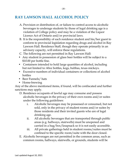## **RAY LAWSON HALL ALCOHOL POLICY**

- A. Provision or distribution of, or failure to control access to alcoholic beverages to underage students by those of legal drinking age is a violation of College policy and may be a violation of the Liquor Licence Act of Ontario and/or provincial laws.
- B. It is the responsibility of each residence student and his/her guest to conform to provincial legislation regarding drugs and alcohol in Ray Lawson Hall. Residence Staff, though they operate primarily in an advisory capacity, will enforce these regulations.
- C. The following are not permitted in Ray Lawson Hall:
- Any student in possession of glass beer bottles will be subject to a \$10.00 per bottle fine.
- Containers intended to hold large quantities of alcohol, including but not limited to: 60oz bottles, kegs, bubbas, texas mickeys.
- Excessive numbers of individual containers or collections of alcohol bottles
- Beer Funnels/ hats
- Home-brewing

Any of the above mentioned items, if found, will be confiscated and further sanctions may apply.

- D. Residence occupants of lawful age may consume and possess alcoholic beverages in the privacy of their own rooms and/or suites under the following guidelines:
	- i. Alcoholic beverages may be possessed or consumed, but not sold, only in the privacy of student rooms and/or suites by those residents and their invited guests who are of legal drinking age.
	- ii. All alcoholic beverages that are transported through public areas (e.g. hallways, stairwells) must be unopened and carried in a bag/box/knapsack so it is not easily accessible.
	- iii. All private gatherings held in student rooms/suites must be confined to the specific room/suite with the door closed.
- E. Alcoholic beverages are not permitted in the common areas, such as common rooms, hallways, stairwells, or grounds, students will be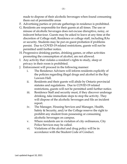made to dispose of their alcoholic beverages when found consuming them out of permissible areas

- F. Advertising parties or private gatherings in residence is prohibited.
- G. Residents are responsible for their guests at all times. The use or misuse of alcoholic beverages does not excuse disruptive, noisy, or indecent behaviour. Guests may be asked to leave at any time at the discretion of College staff, Residence or college staff, including RAs or security. Students may be put on guest probation if problems persist. Due to COVID-19 related restrictions, guests will not be permitted until further notice.
- H. Progressive drinking parties, drinking games, or other activities promoting the consumption of alcohol, are not allowed.
- I. Any activity that violates a resident's rights to study, sleep or privacy in their room is prohibited.
- J. Enforcement will proceed in the following manner:
	- i. The Residence Advisers will inform residents explicitly of the policies regarding illegal drugs and alcohol in the Ray Lawson Hall.
	- ii. Residents and their guests will abide by Ontario provincial statutes and regulations. Due to COVID-19 related restrictions, guests will not be permitted until further notice.
	- iii. Residence Staff and security must, if they discover underage drinking, take immediate steps to stop the activity. They will dispose of the alcoholic beverages and file an incident report.
	- iv. The Manager, Housing Services and Manager, Health, Safety & Security, and/or the College reserve the right to prohibit any student from possessing or consuming alcoholic beverages on campus.
	- v. Where residents are in violation of city ordinances, City Police Services may be called.
	- vi. Violations of the alcohol and drug policy will be in accordance with the Student Code of Conduct.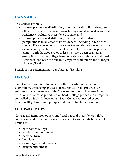## **CANNABIS**

The College prohibits:

- the use, possession, distribution, offering or sale of illicit drugs and other mood altering substances (including cannabis) in all areas of its residences (including in residence rooms); and
- the use, possession, distribution, offering or sale of drug paraphernalia in all areas of its residences (including in residence rooms). Residents who require access to cannabis (or any other drug or substance prohibited by this statement) for medical purposes must comply with the above rules unless they have been granted an exemption from the College based on a demonstrated medical need. Residents who wish to seek an exemption shall inform the Manager, Housing Services.

Breach of this statement may be subject to discipline.

## **DRUGS**

Sault College has a zero tolerance for the unlawful manufacture, distribution, dispensing, possession and/or use of illegal drugs or substances by all members of the College community. The use of illegal drugs or substances is prohibited on Sault College property, on property controlled by Sault College, or at a Sault College sponsored event/ function. Illegal substance paraphernalia is prohibited in residence.

## **CONTRABAND ITEMS**

Contraband items are not permitted and if found in residence will be confiscated and discarded. Some contraband items include but are not limited to:

- beer bottles & kegs
- wireless internet routers
- personal furniture
- hot plates
- drinking games & funnels
- drug paraphernalia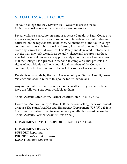## **SEXUAL ASSAULT POLICY**

At Sault College and Ray Lawson Hall, we aim to ensure that all individuals feel safe, comfortable and aware on campus.

Sexual violence is a reality on campuses across Canada, at Sault College we are working to ensure our campus community feels safe, comfortable and educated on the topic of sexual violence. All members of the Sault College community have a right to work and study in an environment that is free from any form of sexual violence. This Policy and its related Protocol sets out the way in which we address sexual violence and ensures that those affected by sexual violence are appropriately accommodated and ensures that the College has a process to respond to complaints that protects the rights of individuals and holds individual members of the College community who have committed an act of sexual violence accountable.

Residents must abide by the Sault College Policy on Sexual Assault/Sexual Violence and should refer to this policy for further details.

Any individual who has experienced or been affected by sexual violence have the following supports available to them:

Sexual Assault Care Centre/Partner Assault Clinic - 705-759-5143

Hours are Monday-Friday 8:30am-4:30pm for counselling for sexual assault or abuse The Sault Area Hospital Emergency Department (705-759-3434) is the primary number to call in an emergency or after hours (ask to see the Sexual Assault/Partner Assault Nurse on call)

## **DEPARTMENT TYPE OF SUPPORT PHONE LOCATION**

**DEPARTMENT** Residence **SUPPORT** Reporting **PHONE** 705-759-2554 ext. 2674 **LOCATION** Ray Lawson Hall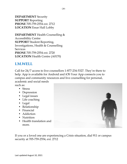**DEPARTMENT** Security **SUPPORT** Reporting **PHONE** 705-759-2554 ext. 2712 **LOCATION** Essar Hall Lobby

**DEPARTMENT** Health Counselling & Accessibility Centre **SUPPORT** Student Reporting, Investigations, Health & Counselling **Services PHONE** 705-759-2554 ext. 2720 **LOCATION** Health Centre (A0170)

## **I.M.WELL**

Call for 24/7 access to live counsellors 1-877-234-5327. They're there to help. App is available for Android and iOS Your App connects you to campus and community resources and live counselling for personal, academic and social needs such as:

- Stress
- Depression
- Legal issues
- Life coaching
- Legal
- Relationship
- Financial
- Addiction
- Nutrition
- Health translation and more.



If you or a loved one are experiencing a Crisis situation, dial 911 or campus security at 705-759-2554, ext. 2712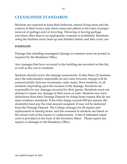## **CLEANLINESS STANDARDS**

Students are expected to keep their bedroom, shared living areas and the exterior of their room/suite doors clean and adhere to the rules of proper removal of garbage and/or recycling. Throwing or leaving garbage anywhere other than in an appropriate container is prohibited. Residents using the kitchens must clean up and disinfect before and after every use.

## **DAMAGES**

Damage lists detailing unassigned damage in common areas are posted as required by the Residence Office.

Any damages that have occurred in the building are recorded on this list, as well as the cost to residents.

Students should review the damage assessments. If after three (3) business days the individual(s) responsible do not come forward, charges will be assessed jointly between roommates, suite mates, floor residents, or all residents depending upon the location of the damage. Residents are responsible for any damages incurred by their guests. Residents must not attempt to repair any damage in their room or suite. Students may have deductions from their Damage Deposit for doing home repairs that do not meet residence standards. If the total charge exceeds \$50 per person, the student(s) must pay the total amount assigned. It may not be deducted from the Damage Deposit. The College arranges for all repairs and replacement of missing items, and fees assessed to students are based on the actual costs of the repairs or replacements. A list of estimated repair costs is provided on the back of the Inventory Sheet. Please report any repairs or damages to the Residence Office.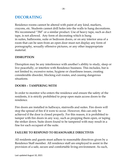## **DECORATING**

Residence rooms cannot be altered with paint of any kind, markers, crayons, etc. Students cannot drill holes into the walls to hang decorations. We recommend "3M" or a similar product. Use of heavy tape, such as duct tape, is not allowed. Any form of decorating which is hung in suites, bathrooms, suite or bedroom doors, or on any interior area of a room that can be seen from an open door must not display any form of pornography, sexually offensive pictures, or any other inappropriate material.

## **DISRUPTION**

Disruption may be any interference with another's ability to study, sleep or live peacefully, or interfere with Residence business. This includes, but is not limited to, excessive noise, hygiene or cleanliness issues, creating considerable disorder, blocking exit routes, and causing dangerous situations.

## **DOORS – TAMPERING WITH**

In order to monitor who enters the residence and ensure the safety of the residents, it is strictly prohibited to prop open main access doors to the residence.

Fire doors are installed in hallways, stairwells and suites. Fire doors will stop the spread of fire if it were to occur. However, this can only be achieved if the door is closed properly. For this reason, it is prohibited to tamper with fire doors in any way, such as propping them open, or taping the striker down. Suite doors found to be tampered with may result in a fine for each occupant of the suite.

## **FAILURE TO RESPOND TO REASONABLE DIRECTIVES**

All residents and guests must adhere to reasonable directives given by a Residence Staff member. All residence staff are employed to assist in the provision of a safe, secure and comfortable living environment. As such,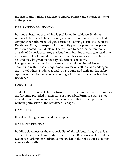the staff works with all residents to enforce policies and educate residents in the process.

## **FIRE SAFETY / SMUDGING**

Burning substances of any kind is prohibited in residence. Students wishing to burn a substance for religious or cultural purposes are asked to complete the Cultural & Religious Burning Planning Form, located in the Residence Office, for respectful community practice planning purposes. Wherever possible, students will be required to perform the ceremony outside of the residence. Any student found burning anything in residence including, but not limited to, incense, cigarettes, candles, etc. will be fined \$50 and may be given mandatory educational sanctions. Halogen lamps and combustible fuels are prohibited in residence. Tampering with fire safety equipment is a serious offence and endangers the lives of others. Students found to have tampered with any fire safety equipment may face sanctions including a \$500 fine and/or eviction from

Residence.

## **FURNITURE**

Students are responsible for the furniture provided in their room, as well as the furniture provided in their suite, if applicable. Furniture may be not moved from common areas or used contrary to its intended purpose without permission of the Residence Manager.

## **GAMBLING**

Illegal gambling is prohibited on campus.

## **GARBAGE REMOVAL**

Building cleanliness is the responsibility of all residents. All garbage is to be placed by residents in the dumpster between Ray Lawson Hall and the Residence Parking lot. Garbage cannot be left in the halls, suites, common areas or stairwells.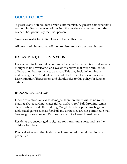## **GUEST POLICY**

A guest is any non-resident or non-staff member. A guest is someone that a resident invites, accepts or admits into the residence, whether or not the resident has previously met that person.

Guests are restricted in Ray Lawson Hall at this time.

All guests will be escorted off the premises and risk trespass charges.

## **HARASSMENT/ DISCRIMINATION**

Harassment includes but is not limited to: conduct which is unwelcome or thought to be unwelcome; and words or actions that cause humiliation, offense or embarrassment to a person. This may include bullying or malicious gossip. Residents must abide by the Sault College Policy on Discrimination/Harassment and should refer to this policy for further details.

## **INDOOR RECREATION**

Indoor recreation can cause damages; therefore there will be no rollerblading, skateboarding, water fights, hockey, golf, ball throwing, tennis, etc. anywhere inside the building. Weight benches, punching bags and table-sized games such as foosball and air hockey are not permitted. Small free weights are allowed. Dartboards are not allowed in residence.

Residents are encouraged to sign up for intramural sports and use the outdoor facilities.

Practical jokes resulting in damage, injury, or additional cleaning are prohibited.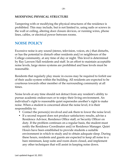## **MODIFYING PHYSICAL STRUCTURE**

Tampering with or modifying the physical structures of the residence is prohibited. This may include, but is not limited to, using nails or screws in the wall or ceiling, altering door closure devices, or running wires, phone lines, cables, or electrical power between rooms.

## **NOISE POLICY**

Excessive noise is any sound (stereo, television, voices, etc.) that disturbs, or has the potential to disturb other residents and/or neighbours of the College community, at any time of day or night. This level is determined by Ray Lawson Hall residents and staff. In an effort to maintain acceptable noise levels, large stereo systems are prohibited and base levels must be reasonable.

Residents that regularly play music in excess may be required to forfeit use of their audio system within the building. All residents are expected to be courteous towards other member of the surrounding community at all times.

Noise levels at any time should not detract from any resident's ability to pursue academic endeavours or to enjoy their living environment. An individual's right to reasonable quiet supersedes another's right to make noise. When a student is concerned about the noise level, it is their responsibility to:

- Contact the person(s) involved and ask them to lower the noise level.
- If a second request does not produce satisfactory results, advise a Residence Advisor, Residence Office staff, or Security Officer on duty. If the problem continues on a regular basis, the student must notify the Residence Coordinator and/or Residence Manager. Quiet Hours have been established to provide students a suitable environment in which to study and to obtain adequate sleep. During these hours, residents and guests are expected to keep all noise to a bare minimum, keep suite and room doors closed, and implement any other techniques that will assist in keeping noise down.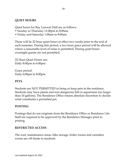## **QUIET HOURS**

Quiet hours for Ray Lawson Hall are as follows:

- Sunday to Thursday 11:00pm to 8:00am
- Friday and Saturday 1:00am to 8:00am

There will be 22 hour quiet hours in effect two weeks prior to the end of each semester. During this period, a two hour grace period will be allowed where a reasonable level of noise is permitted. During quiet hours overnight guests are not permitted.

22 Hour Quiet Hours are: Daily 8:00pm to 6:00pm

Grace period: Daily 6:00pm to 8:00pm

#### **PETS**

Students are NOT PERMITTED to bring or keep pets in the residence. Students may have plants and non-dangerous fish in aquariums (no larger than 10 gallons). The Residence Office retains absolute discretion to decide what constitutes a permitted pet.

## **POSTING**

Postings that do not originate from the Residence Office or Residence Life Staff are required to be approved by the Residence Manager prior to posting.

#### **RESTRICTED ACCESS**

The roof, maintenance areas, bike storage, boiler rooms and caretaker rooms are off-limits to students.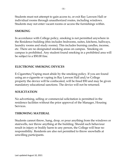Students must not attempt to gain access to, or exit Ray Lawson Hall or individual rooms through unauthorized routes, including windows. Students may not enter vacant rooms or access the furnishings within.

## **SMOKING**

In accordance with College policy, smoking is not permitted anywhere in the Residence building (this includes bedrooms, suites, kitchens, hallways, laundry rooms and study rooms). This includes burning candles, incense, etc. There are no designated smoking areas on campus. Smoking on campus is prohibited. Any student found smoking in a prohibited area will be subject to a \$50.00 fine.

## **ELECTRONIC SMOKING DEVICES**

E-Cigarettes/Vaping must abide by the smoking policy. If you are found using an e-cigarette or vaping in Ray Lawson Hall and/or College property the device will be confiscated, will be fined \$50 and may be given mandatory educational sanctions. The device will not be returned.

## **SOLICITATION**

No advertising, selling or commercial solicitation is permitted in the residence facilities without the prior approval of the Manager, Housing Services.

## **THROWING MATERIAL**

Students cannot throw, hang, drop, or pour anything from the windows or stairwells, nor throw anything at the building. Should such behaviour result in injury or bodily harm to any person, the College will bear no responsibility. Residents are also not permitted to throw snowballs at unwilling participants.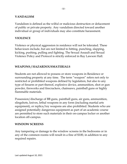#### **VANDALISM**

Vandalism is defined as the wilful or malicious destruction or defacement of public or private property. Any vandalism directed toward another individual or group of individuals may also constitute harassment.

#### **VIOLENCE**

Violence or physical aggression in residence will not be tolerated. These behaviours include, but are not limited to hitting, punching, slapping, kicking, pushing, pulling and fighting. The Sexual Assault and Sexual Violence Policy and Protocol is strictly enforced in Ray Lawson Hall.

#### **WEAPONS / HAZARDOUSMATERIALS**

Students are not allowed to possess or store weapons in Residence or surrounding property at any time. The term "weapon" refers not only to restricted or prohibited weapons defined by legislation, but also to any type of firearm or part thereof, explosive device, ammunition, shot or gun powder, fireworks and firecrackers, chainsaws, paintball guns or highly flammable materials.

Possession/discharge of BB guns, paintball guns, air guns, ammunition, slingshots, knives, lethal weapons in any form (including martial arts equipment), or replica/toy weapons are also prohibited. Students who are assigned potentially dangerous equipment as part of an academic course are permitted to store such materials in their on-campus locker or another location off-campus.

#### **WINDOW SCREENS**

Any tampering or damage to the window screens in the bedrooms or in any of the common rooms will result in a fine of \$100, in addition to any required repairs.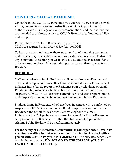## **COVID 19 – GLOBAL PANDEMIC**

Given the global COVID-19 pandemic, you expressly agree to abide by all advice, recommendations and instructions of Ontario public health authorities and all College advice, recommendations and instructions that are intended to address this risk of COVID-19 exposure. You must follow and comply.

Please refer to COVID-19 Residence Response Plan. Masks **are required** in all areas of Ray Lawson Hall.

To keep our community safe, there are a number of sanitizing wall units, and disinfecting wipe stations in various locations in Residence to disinfect any communal areas that you wish. Please use, and report to Staff if any areas are running low. As a reminder, please use sanitizer upon entry in Residence.

## **REPORTING**

Staff and students living in Residence will be required to self-assess and not attend campus buildings other than Residence if their self-assessment indicates immediately report it to Residence Staff by telephone or email. Residence Staff members who have been in contact with a confirmed or suspected COVID-19 case are not to attend work and are to report same to their Supervisor immediately, who must then notify Human Resources.

Students living in Residence who have been in contact with a confirmed or suspected COVID-19 case are not to attend campus buildings other than Residence and report to Residence Staff by telephone or e-mail. In the event the College becomes aware of a potential COVID-19 case on campus and/or in Residence in either the student or staff population, Algoma Public Health will be notified immediately.

**For the safety of our Residence Community, if you experience COVID-19 symptoms, waiting for test results, or have been in direct contact with a person with COVID-19,** you must **IMMEDIATELY** notify Residence Staff by telephone, or email. **DO NOT GO TO THE COLLEGE, (OR ANY FACILITY OF THE COLLEGE).**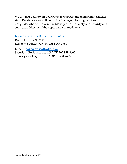We ask that you stay in your room for further direction from Residence staff. Residence staff will notify the Manager, Housing Services or designate, who will inform the Manager Health Safety and Security and copy their Director of the department immediately.

## **Residence Staff Contact Info:**

RA Cell: 705-989-6700 Residence Office: 705-759-2554 ext. 2684

E-mail: **[housing@saultcollege.ca](mailto:housing@saultcollege.ca)** Security – Residence ext. 2685 OR 705-989-6603 Security – College ext. 2712 OR 705-989-4255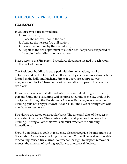## **EMERGENCY PROCEDURES**

## **FIRE SAFETY**

If you discover a fire in residence:

- 1. Remain calm,
- 2. Close the nearest door to the area,
- 3. Activate the nearest fire pull station,
- 4. Leave the building by the nearest exit,
- 5. Report to the fire department or authorities if anyone is suspected of being in the building after evacuation.

Please refer to the Fire Safety Procedures document located in each room on the back of the door.

The Residence building is equipped with fire pull stations, smoke detectors, and heat detectors. Each floor has dry chemical fire extinguishers located in the halls and kitchens. Fire exit doors are equipped with magnetic door locks. These doors will automatically open in the case of a fire alarm.

It is a provincial law that all residents must evacuate during a fire alarm; persons found not evacuating will be prosecuted under the law and/or be disciplined through the Residence or College. Refusing to evacuate the building puts not only your own life at risk but the lives of firefighters who may have to rescue you.

Fire alarms are tested on a regular basis. The time and date of these tests are posted in advance. These tests are short and you need not leave the building. During all other alarms, you must evacuate the building immediately.

Should you decide to cook in residence, please recognize the importance of fire safety. Do not leave cooking unattended. You will be held accountable for cooking-caused fire alarms. We reserve the right to inspect, remove or request the removal of cooking appliances or electrical devices.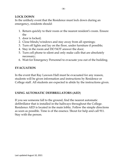## **LOCK DOWN**

In the unlikely event that the Residence must lock down during an emergency, residents should:

- 1. Return quickly to their room or the nearest resident's room. Ensure the
- 1. door is locked;
- 2. Close blinds/windows and stay away from all openings;
- 3. Turn off lights and lay on the floor, under furniture if possible;
- 4. Stay in the room and DO NOT answer the door;
- 5. Turn cell phone to silent and only make calls that are absolutely necessary;
- 6. Wait for Emergency Personnel to evacuate you out of the building.

#### **EVACUATION**

In the event that Ray Lawson Hall must be evacuated for any reason, students will be given information and instructions by Residence or College staff. All students are expected to abide by the instructions given.

## **USING AUTOMATIC DEFIBRILLATORS (AED**)

If you see someone fall to the ground, find the nearest automatic defibrillator that is installed in the hallways throughout the College. Residence AED is located in the main lobby. Follow the simple directions as soon as possible. Time is of the essence. Shout for help and call 911. Stay with the person.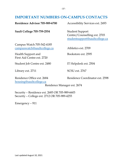## **IMPORTANT NUMBERS ON-CAMPUS CONTACTS**

| Residence Advisor 705-989-6700                           | Accessibility Services ext. 2493                                                         |
|----------------------------------------------------------|------------------------------------------------------------------------------------------|
| <b>Sault College 705-759-2554</b>                        | <b>Student Support</b><br>Centre/Counselling ext. 2703<br>studentsupport@saultcollege.ca |
| Campus Watch 705-542-4185<br>campuswatch@saultcollege.ca | Athletics ext. 2709                                                                      |
| Health Support and<br>First Aid Centre ext. 2720         | Bookstore ext. 2595                                                                      |
| Student Job Centre ext. 2480                             | IT Helpdesk ext. 2504                                                                    |
| Library ext. 2711                                        | SCSU ext. 2767                                                                           |

[housing@saultcollege.ca](mailto:housing@saultcollege.ca)

Residence Office ext. 2684 Residence Coordinator ext. 2598

Residence Manager ext. 2674

Security – Residence ext. 2685 OR 705-989-6603 Security – College ext. 2712 OR 705-989-4255

Emergency – 911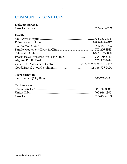## **COMMUNITY CONTACTS**

## **Delivery Services**

## **Health**

## **Transportation**

## **Taxi Services**